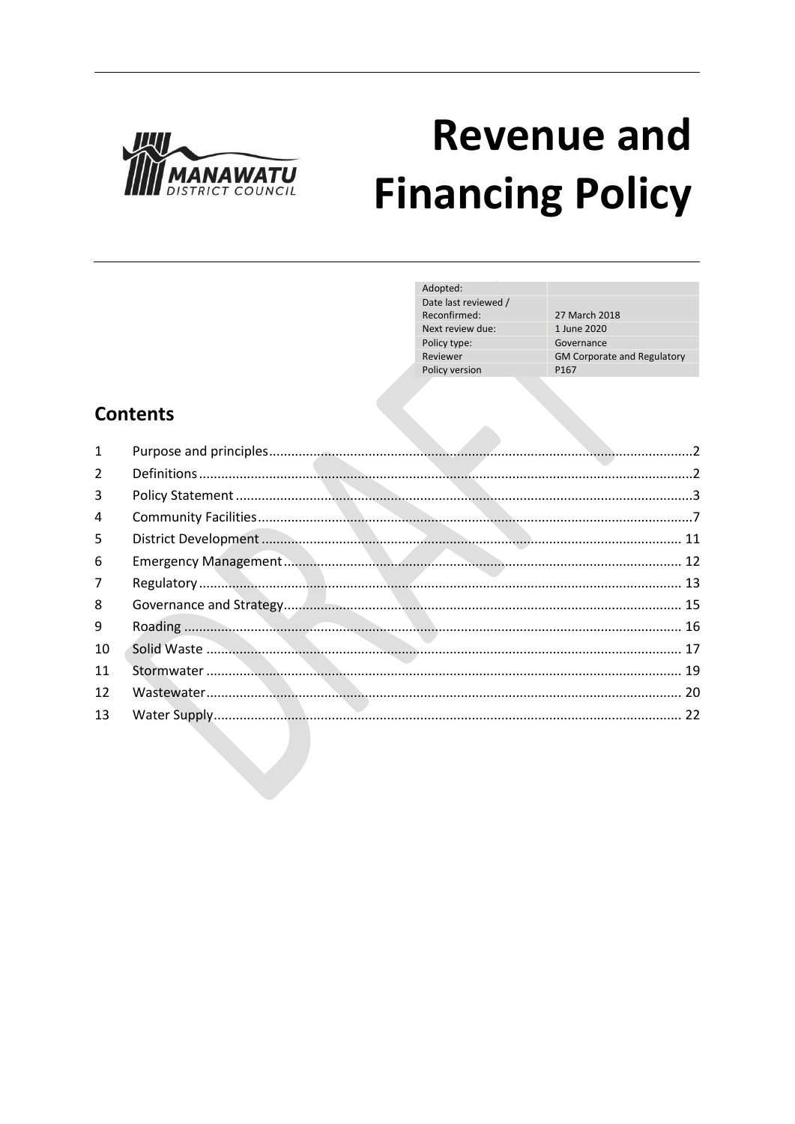

# **Revenue and Financing Policy**

| Adopted:             |                                    |
|----------------------|------------------------------------|
| Date last reviewed / |                                    |
| Reconfirmed:         | 27 March 2018                      |
| Next review due:     | 1 June 2020                        |
| Policy type:         | Governance                         |
| Reviewer             | <b>GM Corporate and Regulatory</b> |
| Policy version       | P <sub>167</sub>                   |
|                      |                                    |

# **Contents**

| $\mathbf{1}$   |  |
|----------------|--|
| $\overline{2}$ |  |
| 3              |  |
| 4              |  |
| 5              |  |
| 6              |  |
| $\overline{7}$ |  |
| 8              |  |
| 9              |  |
| 10             |  |
| 11             |  |
| 12             |  |
| 13             |  |
|                |  |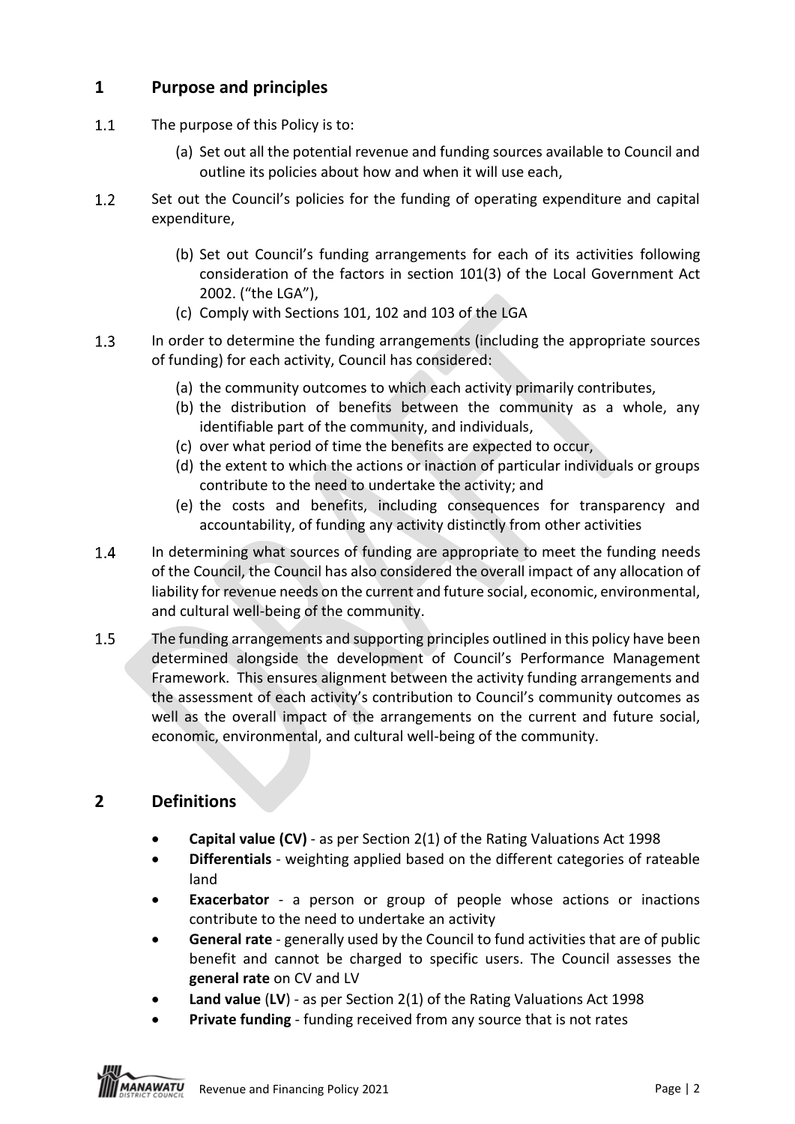# **1 Purpose and principles**

- $1.1$ The purpose of this Policy is to:
	- (a) Set out all the potential revenue and funding sources available to Council and outline its policies about how and when it will use each,
- $1.2$ Set out the Council's policies for the funding of operating expenditure and capital expenditure,
	- (b) Set out Council's funding arrangements for each of its activities following consideration of the factors in section 101(3) of the Local Government Act 2002. ("the LGA"),
	- (c) Comply with Sections 101, 102 and 103 of the LGA
- $1.3$ In order to determine the funding arrangements (including the appropriate sources of funding) for each activity, Council has considered:
	- (a) the community outcomes to which each activity primarily contributes,
	- (b) the distribution of benefits between the community as a whole, any identifiable part of the community, and individuals,
	- (c) over what period of time the benefits are expected to occur,
	- (d) the extent to which the actions or inaction of particular individuals or groups contribute to the need to undertake the activity; and
	- (e) the costs and benefits, including consequences for transparency and accountability, of funding any activity distinctly from other activities
- $1.4$ In determining what sources of funding are appropriate to meet the funding needs of the Council, the Council has also considered the overall impact of any allocation of liability for revenue needs on the current and future social, economic, environmental, and cultural well-being of the community.
- $1.5$ The funding arrangements and supporting principles outlined in this policy have been determined alongside the development of Council's Performance Management Framework. This ensures alignment between the activity funding arrangements and the assessment of each activity's contribution to Council's community outcomes as well as the overall impact of the arrangements on the current and future social, economic, environmental, and cultural well-being of the community.

# **2 Definitions**

- **Capital value (CV)** as per Section 2(1) of the Rating Valuations Act 1998
- **Differentials** weighting applied based on the different categories of rateable land
- **Exacerbator** a person or group of people whose actions or inactions contribute to the need to undertake an activity
- **General rate** generally used by the Council to fund activities that are of public benefit and cannot be charged to specific users. The Council assesses the **general rate** on CV and LV
- **Land value** (**LV**) as per Section 2(1) of the Rating Valuations Act 1998
- **Private funding** funding received from any source that is not rates

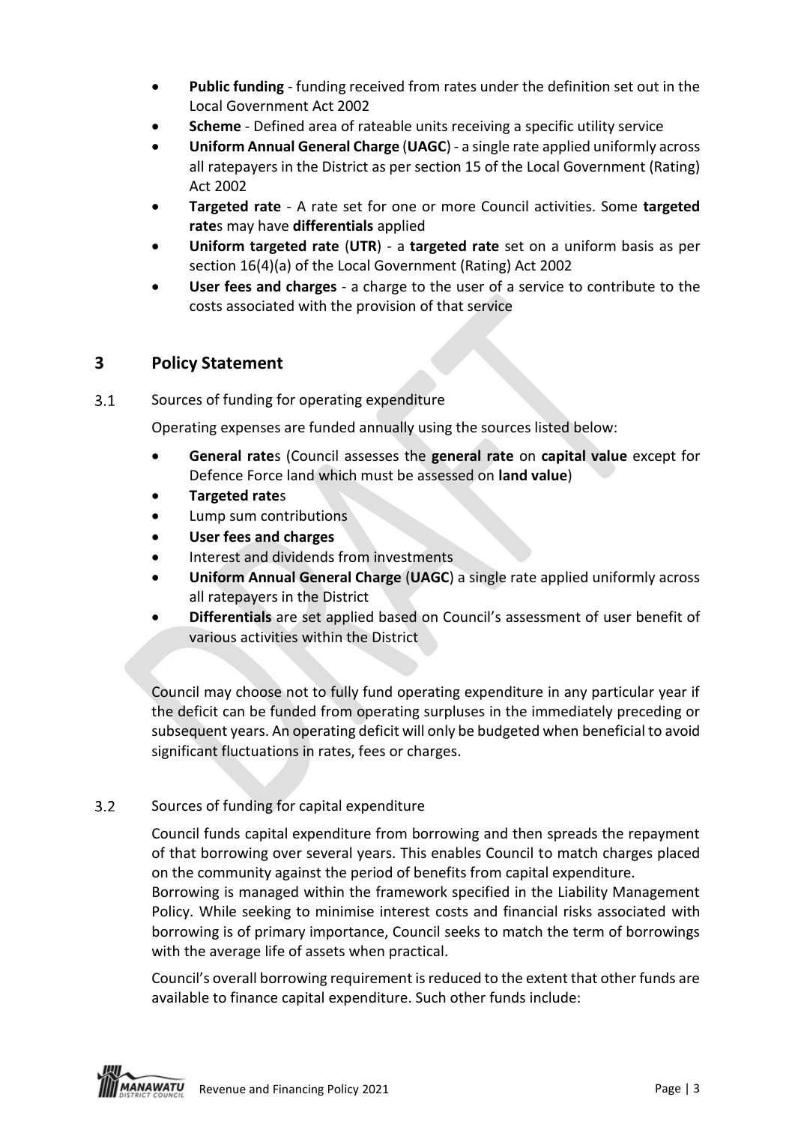- **Public funding** funding received from rates under the definition set out in the Local Government Act 2002
- **Scheme** Defined area of rateable units receiving a specific utility service
- **Uniform Annual General Charge** (**UAGC**) a single rate applied uniformly across all ratepayers in the District as per section 15 of the Local Government (Rating) Act 2002
- **Targeted rate** A rate set for one or more Council activities. Some **targeted rate**s may have **differentials** applied
- **Uniform targeted rate** (**UTR**) a **targeted rate** set on a uniform basis as per section 16(4)(a) of the Local Government (Rating) Act 2002
- **User fees and charges** a charge to the user of a service to contribute to the costs associated with the provision of that service

# **3 Policy Statement**

 $3.1$ Sources of funding for operating expenditure

Operating expenses are funded annually using the sources listed below:

- **General rate**s (Council assesses the **general rate** on **capital value** except for Defence Force land which must be assessed on **land value**)
- **Targeted rate**s
- Lump sum contributions
- **User fees and charges**
- Interest and dividends from investments
- **Uniform Annual General Charge** (**UAGC**) a single rate applied uniformly across all ratepayers in the District
- **Differentials** are set applied based on Council's assessment of user benefit of various activities within the District

Council may choose not to fully fund operating expenditure in any particular year if the deficit can be funded from operating surpluses in the immediately preceding or subsequent years. An operating deficit will only be budgeted when beneficial to avoid significant fluctuations in rates, fees or charges.

#### $3.2$ Sources of funding for capital expenditure

Council funds capital expenditure from borrowing and then spreads the repayment of that borrowing over several years. This enables Council to match charges placed on the community against the period of benefits from capital expenditure.

Borrowing is managed within the framework specified in the Liability Management Policy. While seeking to minimise interest costs and financial risks associated with borrowing is of primary importance, Council seeks to match the term of borrowings with the average life of assets when practical.

Council's overall borrowing requirement is reduced to the extent that other funds are available to finance capital expenditure. Such other funds include:

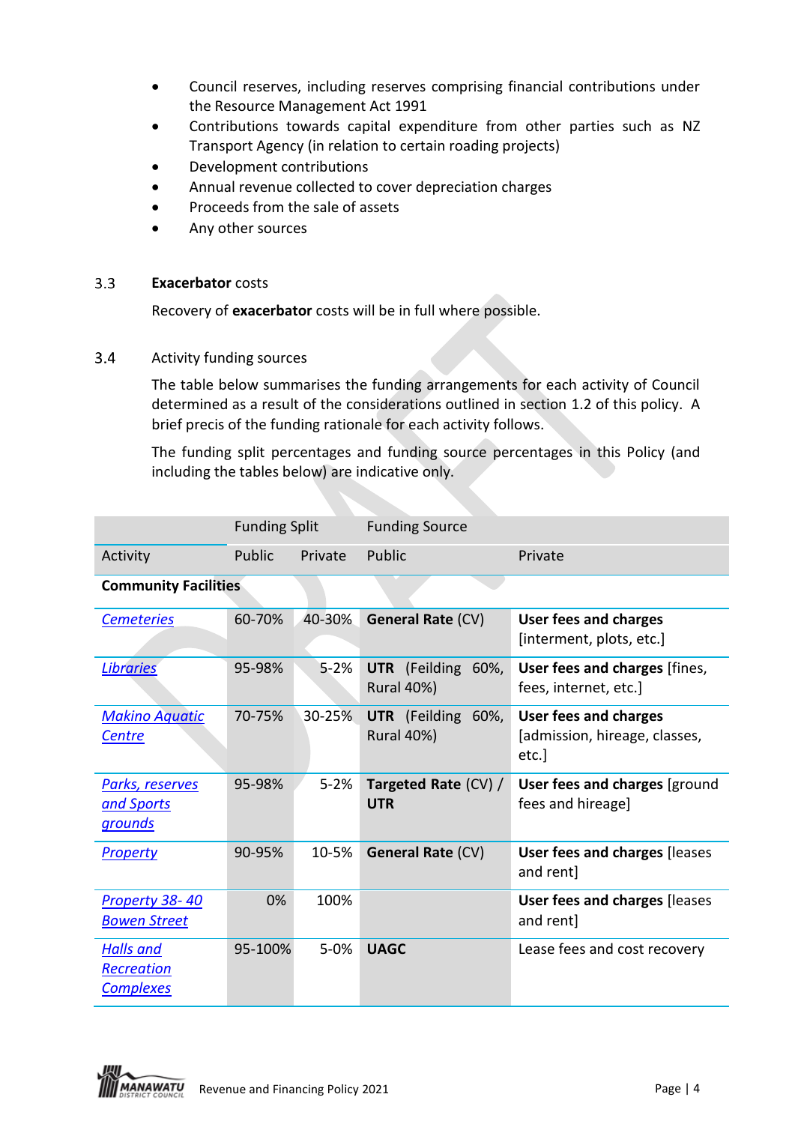- Council reserves, including reserves comprising financial contributions under the Resource Management Act 1991
- Contributions towards capital expenditure from other parties such as NZ Transport Agency (in relation to certain roading projects)
- Development contributions
- Annual revenue collected to cover depreciation charges
- Proceeds from the sale of assets
- Any other sources

#### $3.3$ **Exacerbator** costs

Recovery of **exacerbator** costs will be in full where possible.

 $3.4$ Activity funding sources

> The table below summarises the funding arrangements for each activity of Council determined as a result of the considerations outlined in section 1.2 of this policy. A brief precis of the funding rationale for each activity follows.

> The funding split percentages and funding source percentages in this Policy (and including the tables below) are indicative only.

|                                                        | <b>Funding Split</b> |          | <b>Funding Source</b>                             |                                                                       |
|--------------------------------------------------------|----------------------|----------|---------------------------------------------------|-----------------------------------------------------------------------|
| Activity                                               | Public               | Private  | Public                                            | Private                                                               |
| <b>Community Facilities</b>                            |                      |          |                                                   |                                                                       |
| <b>Cemeteries</b>                                      | 60-70%               | 40-30%   | <b>General Rate (CV)</b>                          | <b>User fees and charges</b><br>[interment, plots, etc.]              |
| <b>Libraries</b>                                       | 95-98%               | $5 - 2%$ | <b>UTR</b> (Feilding<br>60%,<br><b>Rural 40%)</b> | User fees and charges [fines,<br>fees, internet, etc.]                |
| <b>Makino Aquatic</b><br><b>Centre</b>                 | 70-75%               | 30-25%   | UTR (Feilding 60%,<br><b>Rural 40%)</b>           | <b>User fees and charges</b><br>[admission, hireage, classes,<br>etc. |
| <u>Parks, reserves</u><br>and Sports<br><u>grounds</u> | 95-98%               | $5 - 2%$ | Targeted Rate (CV) /<br><b>UTR</b>                | User fees and charges [ground<br>fees and hireage]                    |
| <b>Property</b>                                        | 90-95%               | 10-5%    | <b>General Rate (CV)</b>                          | <b>User fees and charges [leases</b><br>and rent]                     |
| <b>Property 38-40</b><br><b>Bowen Street</b>           | 0%                   | 100%     |                                                   | <b>User fees and charges [leases</b><br>and rent]                     |
| <b>Halls</b> and<br>Recreation<br><b>Complexes</b>     | 95-100%              | $5 - 0%$ | <b>UAGC</b>                                       | Lease fees and cost recovery                                          |

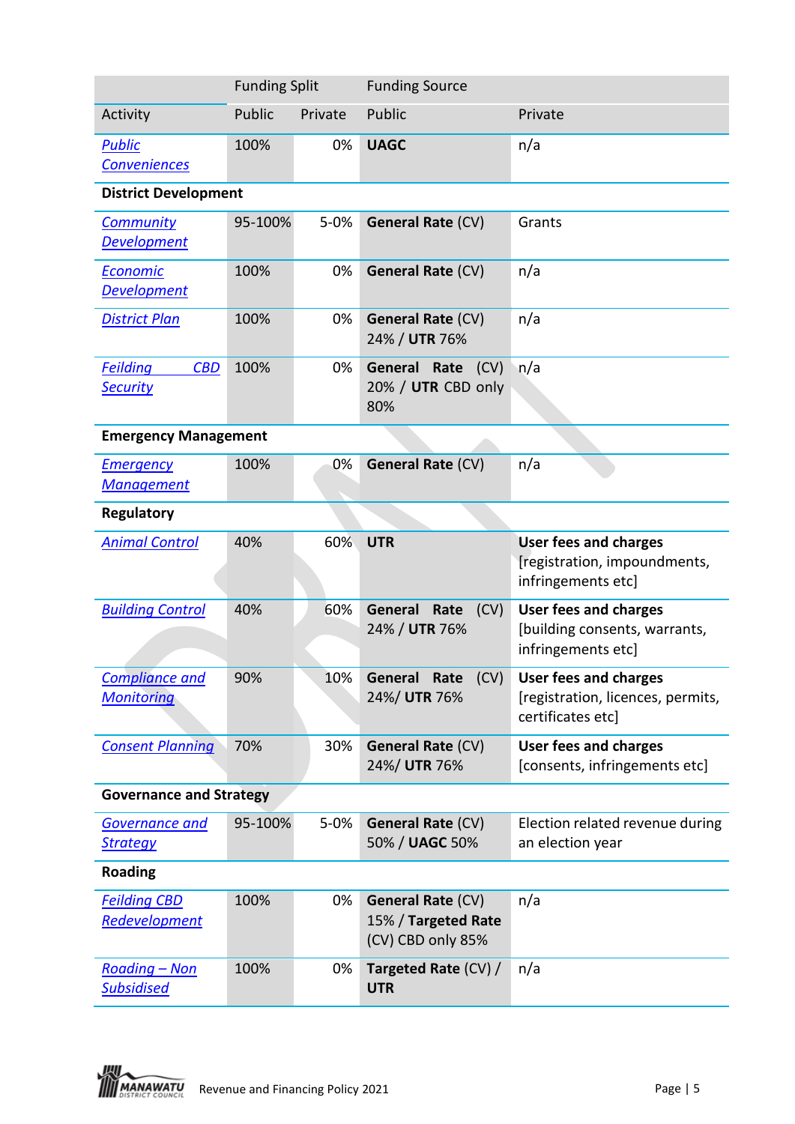|                                                  | <b>Funding Split</b> |          | <b>Funding Source</b>                                                |                                                                                        |  |
|--------------------------------------------------|----------------------|----------|----------------------------------------------------------------------|----------------------------------------------------------------------------------------|--|
| Activity                                         | Public               | Private  | Public                                                               | Private                                                                                |  |
| <b>Public</b><br>Conveniences                    | 100%                 | 0%       | <b>UAGC</b>                                                          | n/a                                                                                    |  |
| <b>District Development</b>                      |                      |          |                                                                      |                                                                                        |  |
| <b>Community</b><br><b>Development</b>           | 95-100%              | $5 - 0%$ | <b>General Rate (CV)</b>                                             | Grants                                                                                 |  |
| Economic<br><b>Development</b>                   | 100%                 | 0%       | <b>General Rate (CV)</b>                                             | n/a                                                                                    |  |
| <b>District Plan</b>                             | 100%                 | 0%       | <b>General Rate (CV)</b><br>24% / UTR 76%                            | n/a                                                                                    |  |
| <b>Feilding</b><br><b>CBD</b><br><b>Security</b> | 100%                 | 0%       | General Rate<br>(CV)<br>20% / UTR CBD only<br>80%                    | n/a                                                                                    |  |
| <b>Emergency Management</b>                      |                      |          |                                                                      |                                                                                        |  |
| <b>Emergency</b><br><b>Management</b>            | 100%                 | 0%       | <b>General Rate (CV)</b>                                             | n/a                                                                                    |  |
| Regulatory                                       |                      |          |                                                                      |                                                                                        |  |
| <b>Animal Control</b>                            | 40%                  | 60%      | <b>UTR</b>                                                           | <b>User fees and charges</b><br>[registration, impoundments,<br>infringements etc]     |  |
| <b>Building Control</b>                          | 40%                  | 60%      | General Rate<br>(CV)<br>24% / UTR 76%                                | <b>User fees and charges</b><br>[building consents, warrants,<br>infringements etc]    |  |
| <b>Compliance and</b><br><b>Monitoring</b>       | 90%                  | 10%      | General Rate<br>(CV)<br>24%/ UTR 76%                                 | <b>User fees and charges</b><br>[registration, licences, permits,<br>certificates etc] |  |
| <b>Consent Planning</b>                          | 70%                  | 30%      | <b>General Rate (CV)</b><br>24%/ UTR 76%                             | <b>User fees and charges</b><br>[consents, infringements etc]                          |  |
| <b>Governance and Strategy</b>                   |                      |          |                                                                      |                                                                                        |  |
| <b>Governance and</b><br><b>Strategy</b>         | 95-100%              | $5 - 0%$ | General Rate (CV)<br>50% / UAGC 50%                                  | Election related revenue during<br>an election year                                    |  |
| <b>Roading</b>                                   |                      |          |                                                                      |                                                                                        |  |
| <b>Feilding CBD</b><br>Redevelopment             | 100%                 | 0%       | <b>General Rate (CV)</b><br>15% / Targeted Rate<br>(CV) CBD only 85% | n/a                                                                                    |  |
| <u> Roading – Non</u><br><b>Subsidised</b>       | 100%                 | 0%       | Targeted Rate (CV) /<br><b>UTR</b>                                   | n/a                                                                                    |  |

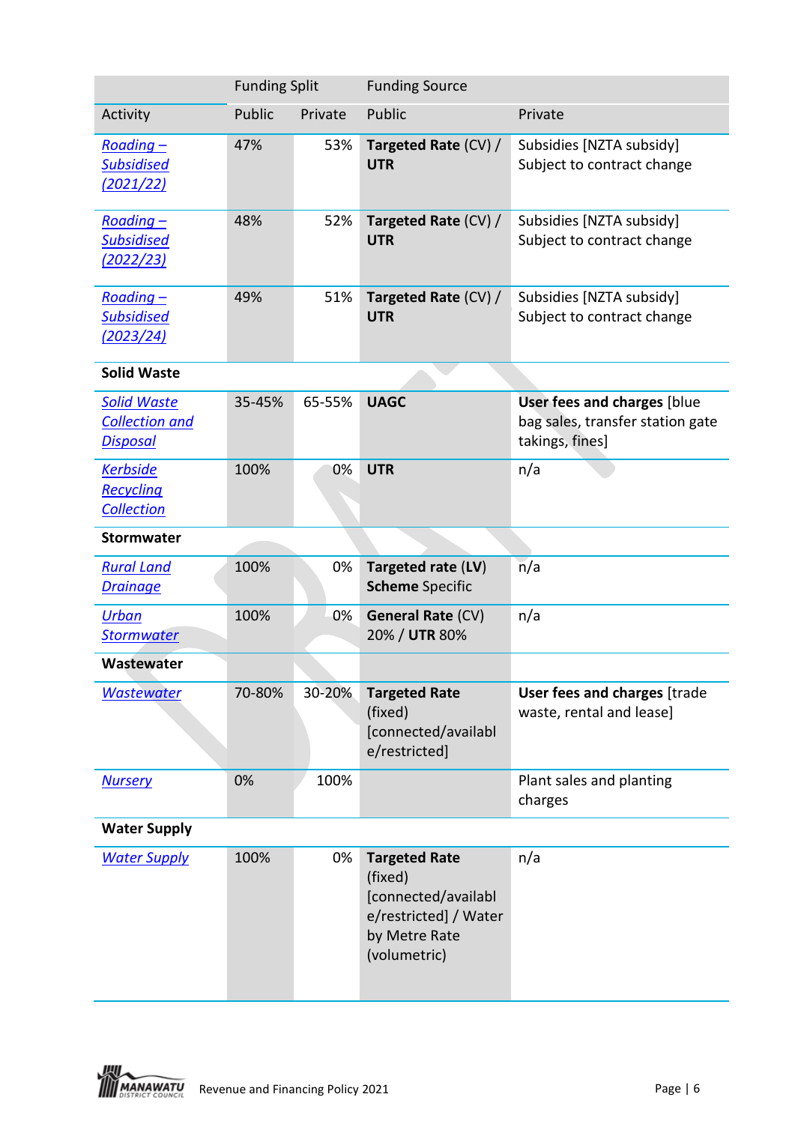|                                                                | <b>Funding Split</b> |         | <b>Funding Source</b>                                                                                            |                                                                                           |
|----------------------------------------------------------------|----------------------|---------|------------------------------------------------------------------------------------------------------------------|-------------------------------------------------------------------------------------------|
| Activity                                                       | Public               | Private | Public                                                                                                           | Private                                                                                   |
| $Roading -$<br><b>Subsidised</b><br>(2021/22)                  | 47%                  | 53%     | Targeted Rate (CV) /<br><b>UTR</b>                                                                               | Subsidies [NZTA subsidy]<br>Subject to contract change                                    |
| $Roading -$<br><b>Subsidised</b><br><u>(2022/23)</u>           | 48%                  | 52%     | Targeted Rate (CV) /<br><b>UTR</b>                                                                               | Subsidies [NZTA subsidy]<br>Subject to contract change                                    |
| Roading-<br><b>Subsidised</b><br>(2023/24)                     | 49%                  | 51%     | Targeted Rate (CV) /<br><b>UTR</b>                                                                               | Subsidies [NZTA subsidy]<br>Subject to contract change                                    |
| <b>Solid Waste</b>                                             |                      |         |                                                                                                                  |                                                                                           |
| <u>Solid Waste</u><br><b>Collection and</b><br><b>Disposal</b> | 35-45%               | 65-55%  | <b>UAGC</b>                                                                                                      | <b>User fees and charges [blue</b><br>bag sales, transfer station gate<br>takings, fines] |
| <b>Kerbside</b><br><b>Recycling</b><br>Collection              | 100%                 | 0%      | <b>UTR</b>                                                                                                       | n/a                                                                                       |
| <b>Stormwater</b>                                              |                      |         |                                                                                                                  |                                                                                           |
| <b>Rural Land</b><br><b>Drainage</b>                           | 100%                 | 0%      | Targeted rate (LV)<br><b>Scheme Specific</b>                                                                     | n/a                                                                                       |
| <b>Urban</b><br><b>Stormwater</b>                              | 100%                 | 0%      | <b>General Rate (CV)</b><br>20% / UTR 80%                                                                        | n/a                                                                                       |
| Wastewater                                                     |                      |         |                                                                                                                  |                                                                                           |
| <b>Wastewater</b>                                              | 70-80%               | 30-20%  | <b>Targeted Rate</b><br>(fixed)<br>[connected/availabl<br>e/restricted]                                          | User fees and charges [trade<br>waste, rental and lease]                                  |
| <b>Nursery</b>                                                 | 0%                   | 100%    |                                                                                                                  | Plant sales and planting<br>charges                                                       |
| <b>Water Supply</b>                                            |                      |         |                                                                                                                  |                                                                                           |
| <b>Water Supply</b>                                            | 100%                 | 0%      | <b>Targeted Rate</b><br>(fixed)<br>[connected/availabl<br>e/restricted] / Water<br>by Metre Rate<br>(volumetric) | n/a                                                                                       |

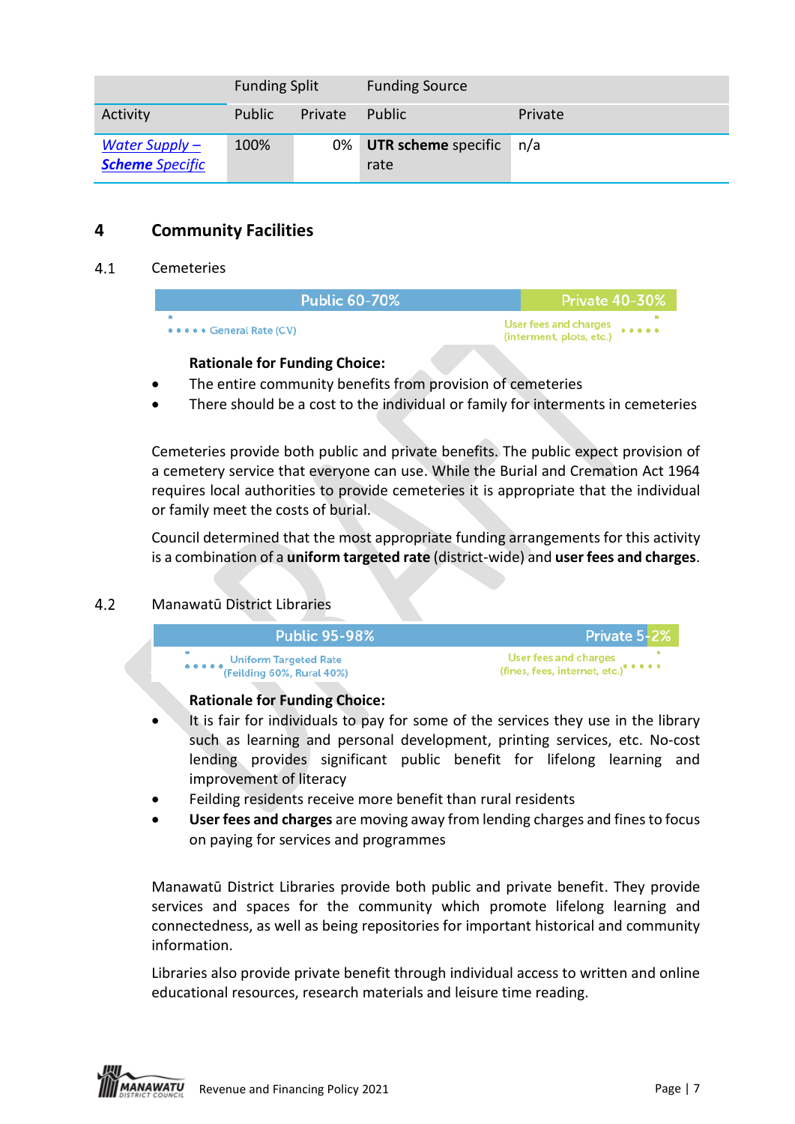|                                            | <b>Funding Split</b> |         | <b>Funding Source</b>              |         |
|--------------------------------------------|----------------------|---------|------------------------------------|---------|
| Activity                                   | <b>Public</b>        | Private | Public                             | Private |
| Water Supply $-$<br><b>Scheme</b> Specific | 100%                 |         | 0% UTR scheme specific n/a<br>rate |         |

# **4 Community Facilities**

#### <span id="page-6-0"></span> $4.1$ Cemeteries

| <b>Public 60-70%</b>           | <b>Private 40-30%</b>                             |
|--------------------------------|---------------------------------------------------|
| <b>*****</b> General Rate (CV) | User fees and charges<br>(interment, plots, etc.) |

### **Rationale for Funding Choice:**

- The entire community benefits from provision of cemeteries
- There should be a cost to the individual or family for interments in cemeteries

Cemeteries provide both public and private benefits. The public expect provision of a cemetery service that everyone can use. While the Burial and Cremation Act 1964 requires local authorities to provide cemeteries it is appropriate that the individual or family meet the costs of burial.

Council determined that the most appropriate funding arrangements for this activity is a combination of a **uniform targeted rate** (district-wide) and **user fees and charges**.

#### <span id="page-6-1"></span> $4.2$ Manawatū District Libraries



### **Rationale for Funding Choice:**

- It is fair for individuals to pay for some of the services they use in the library such as learning and personal development, printing services, etc. No-cost lending provides significant public benefit for lifelong learning and improvement of literacy
- Feilding residents receive more benefit than rural residents
- **User fees and charges** are moving away from lending charges and fines to focus on paying for services and programmes

Manawatū District Libraries provide both public and private benefit. They provide services and spaces for the community which promote lifelong learning and connectedness, as well as being repositories for important historical and community information.

Libraries also provide private benefit through individual access to written and online educational resources, research materials and leisure time reading.

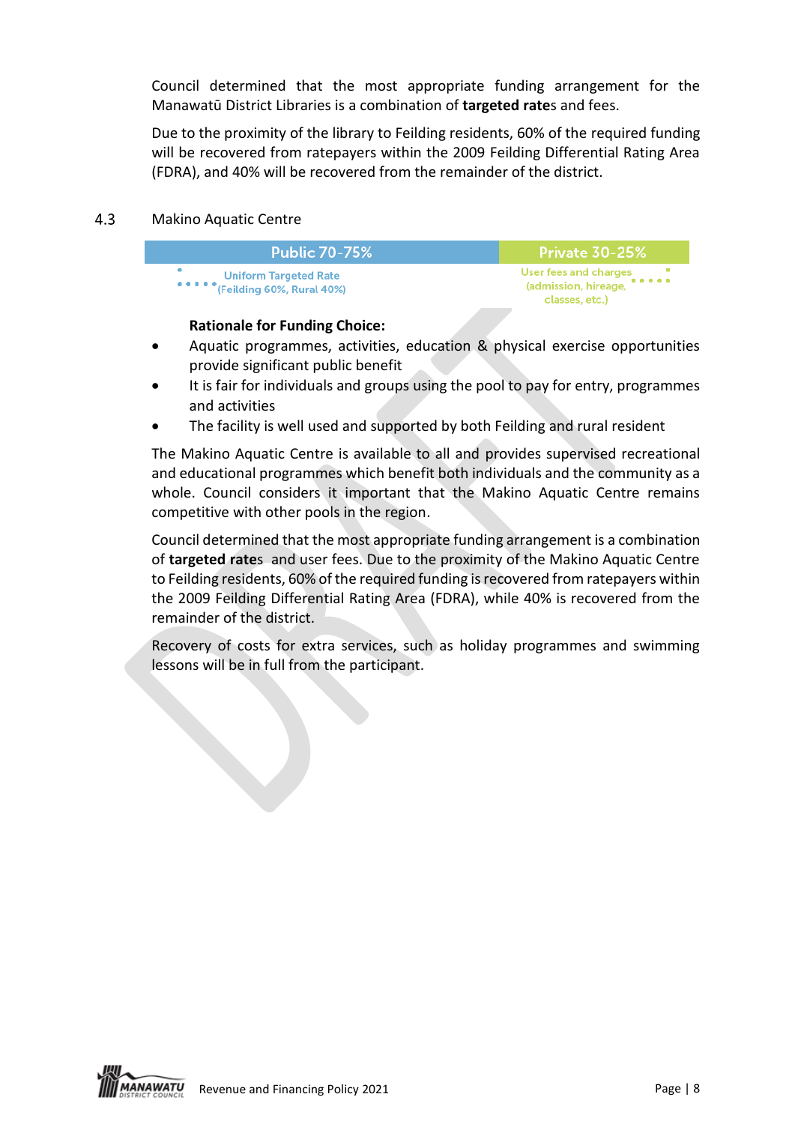Council determined that the most appropriate funding arrangement for the Manawatū District Libraries is a combination of **targeted rate**s and fees.

Due to the proximity of the library to Feilding residents, 60% of the required funding will be recovered from ratepayers within the 2009 Feilding Differential Rating Area (FDRA), and 40% will be recovered from the remainder of the district.

#### <span id="page-7-0"></span> $4.3$ Makino Aquatic Centre

| <b>Public 70-75%</b>                                                   | Private 30-25%                                                               |
|------------------------------------------------------------------------|------------------------------------------------------------------------------|
| <b>Uniform Targeted Rate</b><br><b>*****</b> (Feilding 60%, Rural 40%) | User fees and charges<br>(admission, hireage, <b>*****</b><br>classes, etc.) |

### **Rationale for Funding Choice:**

- Aquatic programmes, activities, education & physical exercise opportunities provide significant public benefit
- It is fair for individuals and groups using the pool to pay for entry, programmes and activities
- The facility is well used and supported by both Feilding and rural resident

The Makino Aquatic Centre is available to all and provides supervised recreational and educational programmes which benefit both individuals and the community as a whole. Council considers it important that the Makino Aquatic Centre remains competitive with other pools in the region.

Council determined that the most appropriate funding arrangement is a combination of **targeted rate**s and user fees. Due to the proximity of the Makino Aquatic Centre to Feilding residents, 60% of the required funding is recovered from ratepayers within the 2009 Feilding Differential Rating Area (FDRA), while 40% is recovered from the remainder of the district.

Recovery of costs for extra services, such as holiday programmes and swimming lessons will be in full from the participant.

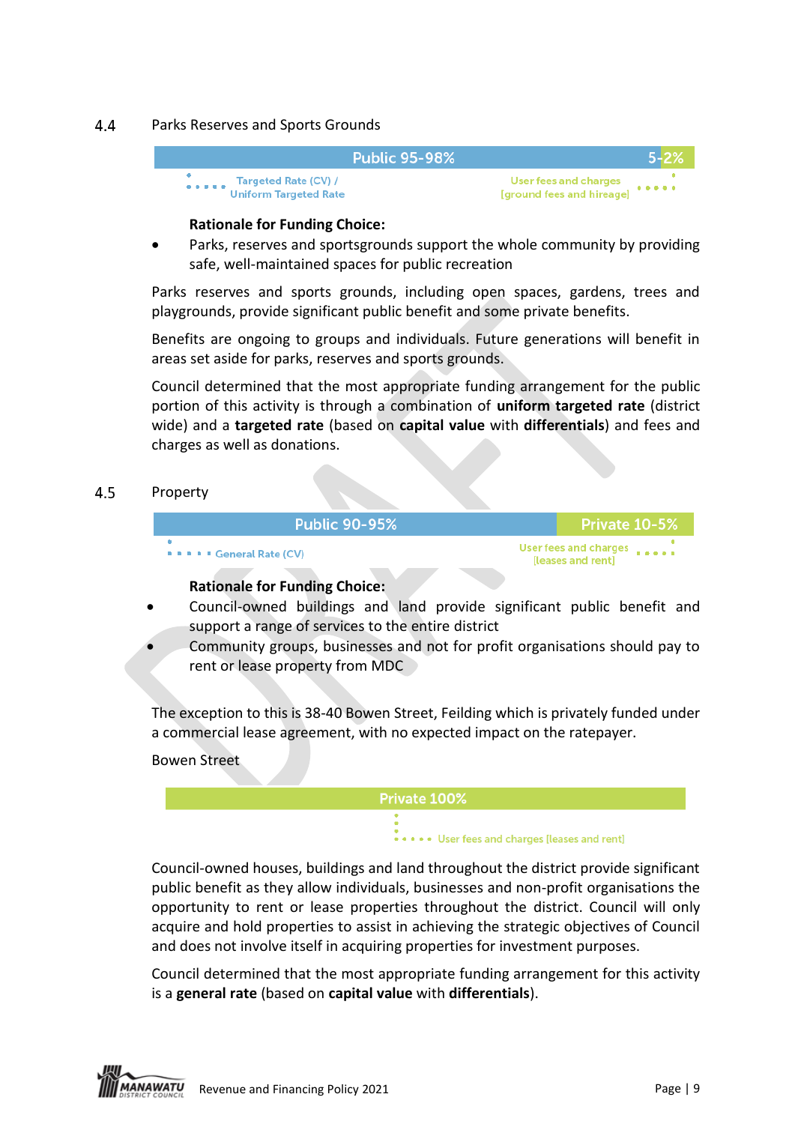#### <span id="page-8-0"></span>4.4 Parks Reserves and Sports Grounds



### **Rationale for Funding Choice:**

Parks, reserves and sportsgrounds support the whole community by providing safe, well-maintained spaces for public recreation

Parks reserves and sports grounds, including open spaces, gardens, trees and playgrounds, provide significant public benefit and some private benefits.

Benefits are ongoing to groups and individuals. Future generations will benefit in areas set aside for parks, reserves and sports grounds.

Council determined that the most appropriate funding arrangement for the public portion of this activity is through a combination of **uniform targeted rate** (district wide) and a **targeted rate** (based on **capital value** with **differentials**) and fees and charges as well as donations.

#### <span id="page-8-1"></span> $4.5$ Property

| <b>Public 90-95%</b>            | <b>Private 10-5%</b>                                     |
|---------------------------------|----------------------------------------------------------|
| <b>PARA F</b> General Rate (CV) | User fees and charges <b>Face a</b><br>[leases and rent] |
| Dettenele fan Friedling Obetern |                                                          |

### **Rationale for Funding Choice:**

- Council-owned buildings and land provide significant public benefit and support a range of services to the entire district
- Community groups, businesses and not for profit organisations should pay to rent or lease property from MDC

The exception to this is 38-40 Bowen Street, Feilding which is privately funded under a commercial lease agreement, with no expected impact on the ratepayer.

### Bowen Street

<span id="page-8-2"></span>

Council-owned houses, buildings and land throughout the district provide significant public benefit as they allow individuals, businesses and non-profit organisations the opportunity to rent or lease properties throughout the district. Council will only acquire and hold properties to assist in achieving the strategic objectives of Council and does not involve itself in acquiring properties for investment purposes.

Council determined that the most appropriate funding arrangement for this activity is a **general rate** (based on **capital value** with **differentials**).

**NAWATU** Revenue and Financing Policy 2021 **Page | 9** and Financing Policy 2021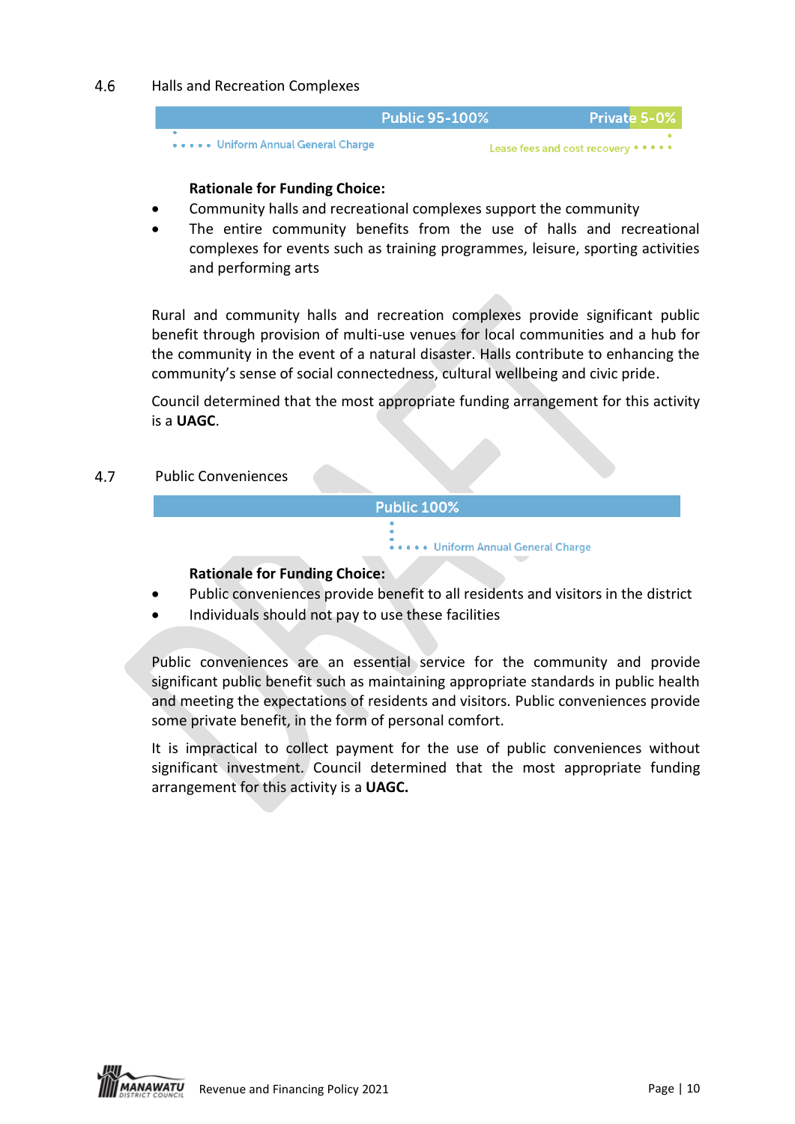#### <span id="page-9-0"></span>4.6 Halls and Recreation Complexes



#### **Rationale for Funding Choice:**

- Community halls and recreational complexes support the community
- The entire community benefits from the use of halls and recreational complexes for events such as training programmes, leisure, sporting activities and performing arts

Rural and community halls and recreation complexes provide significant public benefit through provision of multi-use venues for local communities and a hub for the community in the event of a natural disaster. Halls contribute to enhancing the community's sense of social connectedness, cultural wellbeing and civic pride.

Council determined that the most appropriate funding arrangement for this activity is a **UAGC**.

#### <span id="page-9-1"></span> $4.7$ Public Conveniences

#### **Public 100%**

• Uniform Annual General Charge

### **Rationale for Funding Choice:**

- Public conveniences provide benefit to all residents and visitors in the district
- Individuals should not pay to use these facilities

Public conveniences are an essential service for the community and provide significant public benefit such as maintaining appropriate standards in public health and meeting the expectations of residents and visitors. Public conveniences provide some private benefit, in the form of personal comfort.

It is impractical to collect payment for the use of public conveniences without significant investment. Council determined that the most appropriate funding arrangement for this activity is a **UAGC.**

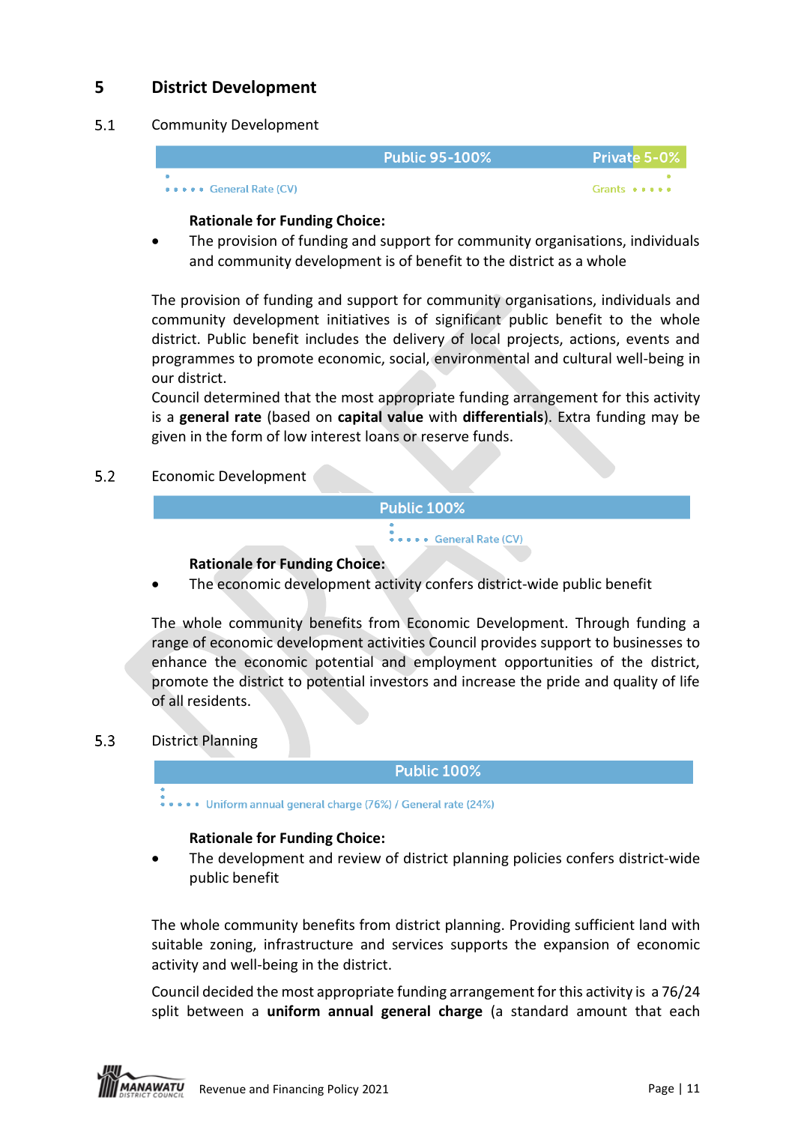# **5 District Development**

#### <span id="page-10-0"></span> $5.1$ Community Development

|                         | Public 95-100% | <b>Private 5-0%</b> |
|-------------------------|----------------|---------------------|
|                         |                |                     |
| ••••• General Rate (CV) |                | Grants • • • • •    |

### **Rationale for Funding Choice:**

• The provision of funding and support for community organisations, individuals and community development is of benefit to the district as a whole

The provision of funding and support for community organisations, individuals and community development initiatives is of significant public benefit to the whole district. Public benefit includes the delivery of local projects, actions, events and programmes to promote economic, social, environmental and cultural well-being in our district.

Council determined that the most appropriate funding arrangement for this activity is a **general rate** (based on **capital value** with **differentials**). Extra funding may be given in the form of low interest loans or reserve funds.

**Public 100%** 

<span id="page-10-1"></span> $5.2$ Economic Development

• • General Rate (CV)

### **Rationale for Funding Choice:**

• The economic development activity confers district-wide public benefit

The whole community benefits from Economic Development. Through funding a range of economic development activities Council provides support to businesses to enhance the economic potential and employment opportunities of the district, promote the district to potential investors and increase the pride and quality of life of all residents.

#### <span id="page-10-2"></span> $5.3$ District Planning

**Public 100%** 

... Uniform annual general charge (76%) / General rate (24%)

### **Rationale for Funding Choice:**

The development and review of district planning policies confers district-wide public benefit

The whole community benefits from district planning. Providing sufficient land with suitable zoning, infrastructure and services supports the expansion of economic activity and well-being in the district.

Council decided the most appropriate funding arrangement for this activity is a 76/24 split between a **uniform annual general charge** (a standard amount that each

**NAWATU** Revenue and Financing Policy 2021 **Page | 11**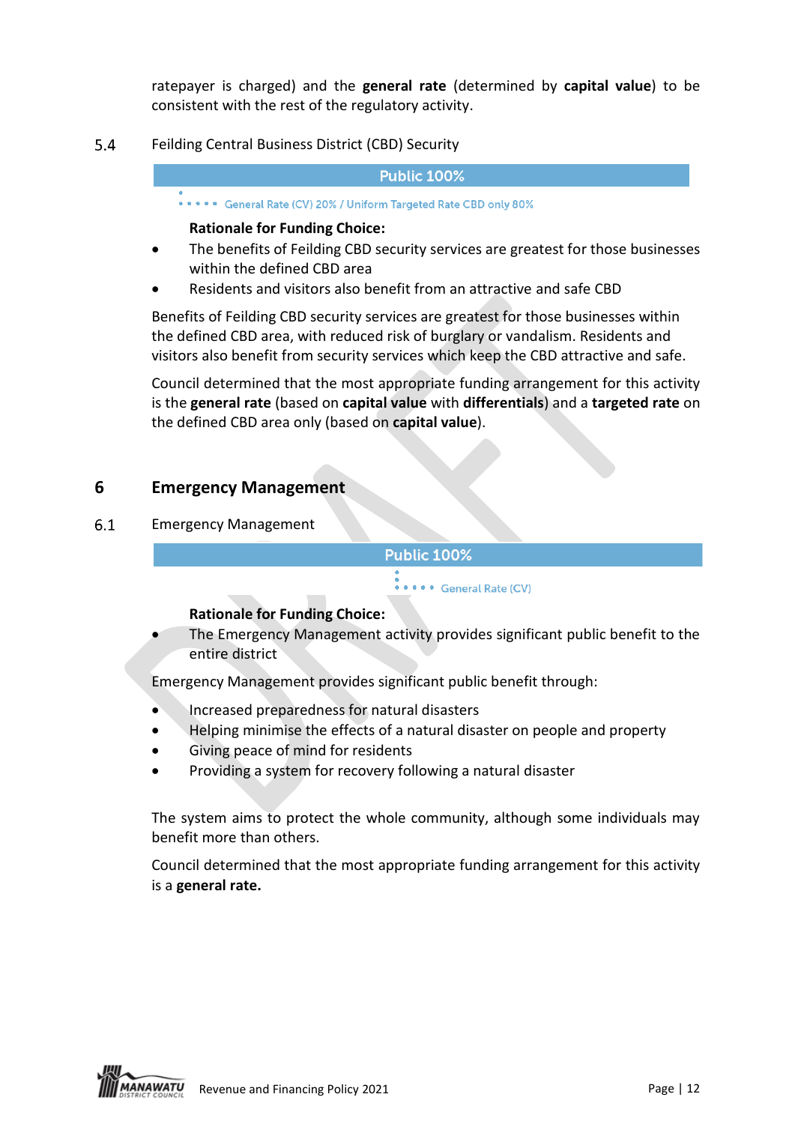ratepayer is charged) and the **general rate** (determined by **capital value**) to be consistent with the rest of the regulatory activity.

5.4 Feilding Central Business District (CBD) Security

#### **Public 100%**

\*\*\*\*\* General Rate (CV) 20% / Uniform Targeted Rate CBD only 80%

#### **Rationale for Funding Choice:**

- The benefits of Feilding CBD security services are greatest for those businesses within the defined CBD area
- Residents and visitors also benefit from an attractive and safe CBD

Benefits of Feilding CBD security services are greatest for those businesses within the defined CBD area, with reduced risk of burglary or vandalism. Residents and visitors also benefit from security services which keep the CBD attractive and safe.

Council determined that the most appropriate funding arrangement for this activity is the **general rate** (based on **capital value** with **differentials**) and a **targeted rate** on the defined CBD area only (based on **capital value**).

### **6 Emergency Management**

#### <span id="page-11-0"></span> $6.1$ Emergency Management

#### **Public 100%**

#### \*\*\*\*\* General Rate (CV)

### **Rationale for Funding Choice:**

• The Emergency Management activity provides significant public benefit to the entire district

Emergency Management provides significant public benefit through:

- Increased preparedness for natural disasters
- Helping minimise the effects of a natural disaster on people and property
- Giving peace of mind for residents
- Providing a system for recovery following a natural disaster

The system aims to protect the whole community, although some individuals may benefit more than others.

Council determined that the most appropriate funding arrangement for this activity is a **general rate.**

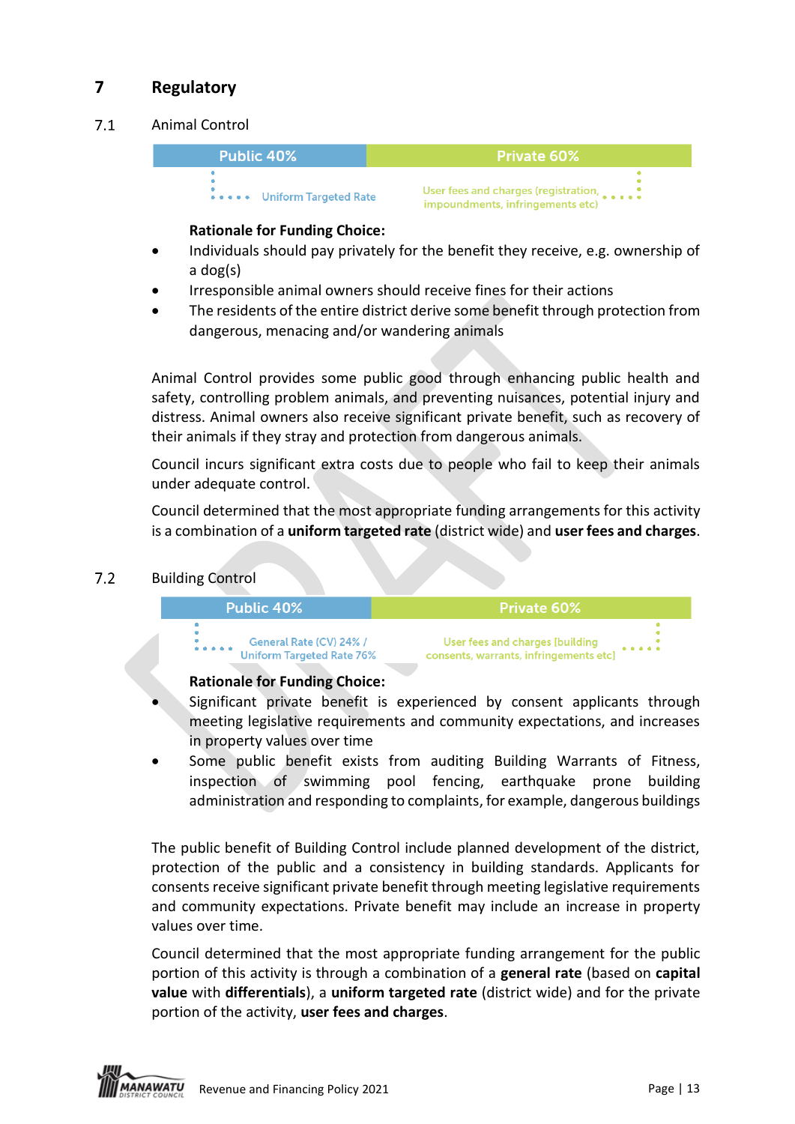# **7 Regulatory**

#### <span id="page-12-0"></span> $7.1$ Animal Control



### **Rationale for Funding Choice:**

- Individuals should pay privately for the benefit they receive, e.g. ownership of a dog(s)
- Irresponsible animal owners should receive fines for their actions
- The residents of the entire district derive some benefit through protection from dangerous, menacing and/or wandering animals

Animal Control provides some public good through enhancing public health and safety, controlling problem animals, and preventing nuisances, potential injury and distress. Animal owners also receive significant private benefit, such as recovery of their animals if they stray and protection from dangerous animals.

Council incurs significant extra costs due to people who fail to keep their animals under adequate control.

Council determined that the most appropriate funding arrangements for this activity is a combination of a **uniform targeted rate** (district wide) and **user fees and charges**.

#### <span id="page-12-1"></span> $7.2$ Building Control



### **Rationale for Funding Choice:**

- Significant private benefit is experienced by consent applicants through meeting legislative requirements and community expectations, and increases in property values over time
- Some public benefit exists from auditing Building Warrants of Fitness, inspection of swimming pool fencing, earthquake prone building administration and responding to complaints, for example, dangerous buildings

The public benefit of Building Control include planned development of the district, protection of the public and a consistency in building standards. Applicants for consents receive significant private benefit through meeting legislative requirements and community expectations. Private benefit may include an increase in property values over time.

Council determined that the most appropriate funding arrangement for the public portion of this activity is through a combination of a **general rate** (based on **capital value** with **differentials**), a **uniform targeted rate** (district wide) and for the private portion of the activity, **user fees and charges**.

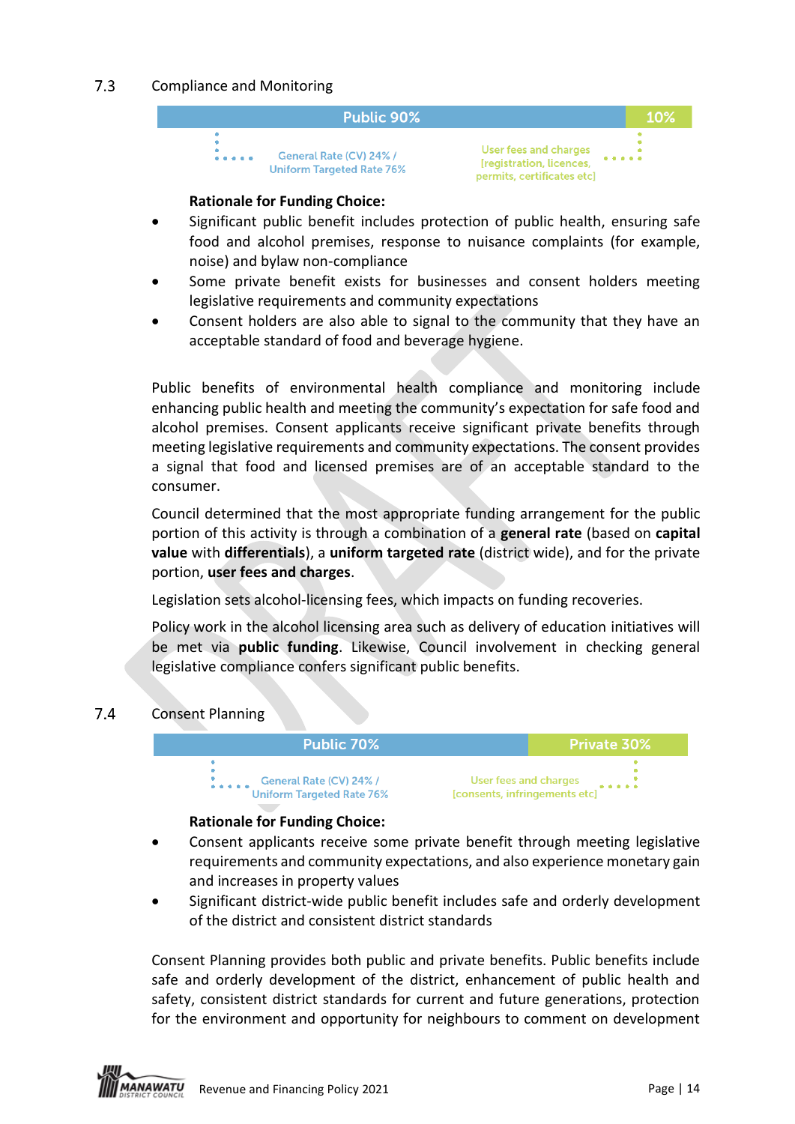#### $7.3$ Compliance and Monitoring



#### **Rationale for Funding Choice:**

- Significant public benefit includes protection of public health, ensuring safe food and alcohol premises, response to nuisance complaints (for example, noise) and bylaw non-compliance
- Some private benefit exists for businesses and consent holders meeting legislative requirements and community expectations
- Consent holders are also able to signal to the community that they have an acceptable standard of food and beverage hygiene.

Public benefits of environmental health compliance and monitoring include enhancing public health and meeting the community's expectation for safe food and alcohol premises. Consent applicants receive significant private benefits through meeting legislative requirements and community expectations. The consent provides a signal that food and licensed premises are of an acceptable standard to the consumer.

Council determined that the most appropriate funding arrangement for the public portion of this activity is through a combination of a **general rate** (based on **capital value** with **differentials**), a **uniform targeted rate** (district wide), and for the private portion, **user fees and charges**.

Legislation sets alcohol-licensing fees, which impacts on funding recoveries.

Policy work in the alcohol licensing area such as delivery of education initiatives will be met via **public funding**. Likewise, Council involvement in checking general legislative compliance confers significant public benefits.

#### <span id="page-13-0"></span> $7.4$ Consent Planning



### **Rationale for Funding Choice:**

- Consent applicants receive some private benefit through meeting legislative requirements and community expectations, and also experience monetary gain and increases in property values
- Significant district-wide public benefit includes safe and orderly development of the district and consistent district standards

Consent Planning provides both public and private benefits. Public benefits include safe and orderly development of the district, enhancement of public health and safety, consistent district standards for current and future generations, protection for the environment and opportunity for neighbours to comment on development

**ANAWATU** Revenue and Financing Policy 2021 **Page 14** and Financing Policy 2021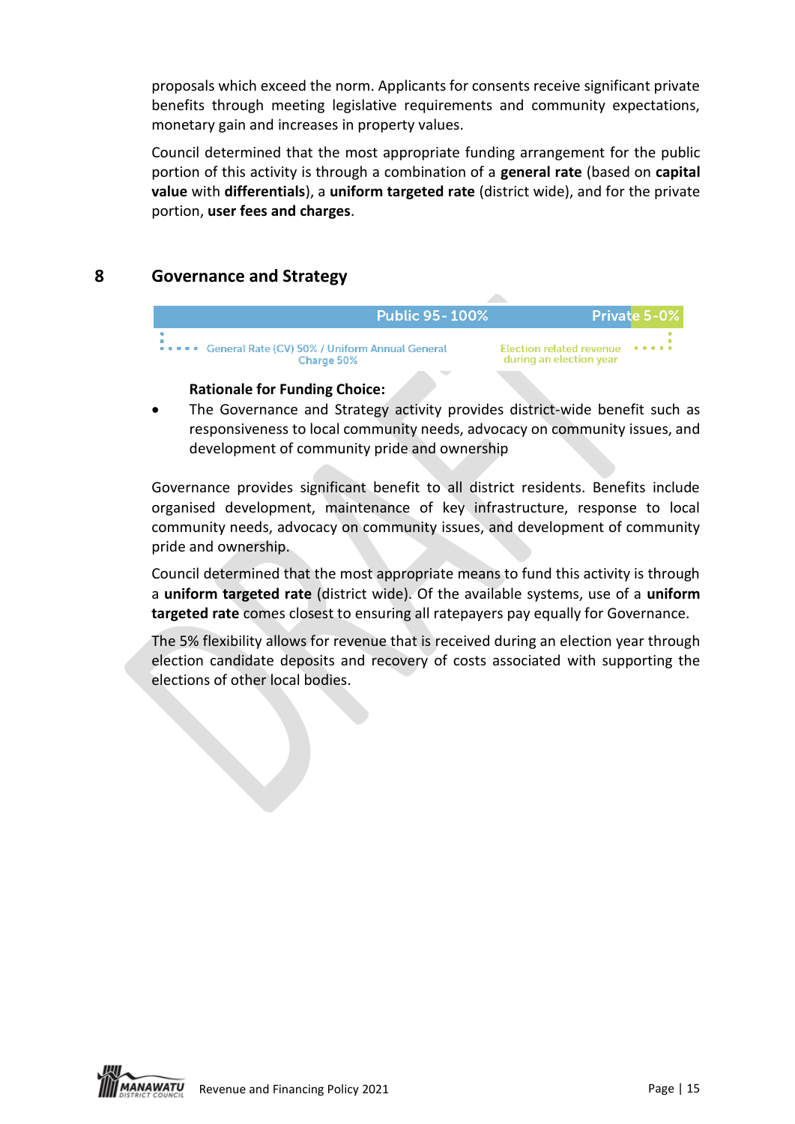proposals which exceed the norm. Applicants for consents receive significant private benefits through meeting legislative requirements and community expectations, monetary gain and increases in property values.

Council determined that the most appropriate funding arrangement for the public portion of this activity is through a combination of a **general rate** (based on **capital value** with **differentials**), a **uniform targeted rate** (district wide), and for the private portion, **user fees and charges**.

# <span id="page-14-1"></span><span id="page-14-0"></span>**8 Governance and Strategy**

| <b>Public 95-100%</b>                                              |                                                     | <b>Private 5-0%</b> |
|--------------------------------------------------------------------|-----------------------------------------------------|---------------------|
| ***** General Rate (CV) 50% / Uniform Annual General<br>Charge 50% | Election related revenue<br>during an election year |                     |
|                                                                    |                                                     |                     |

### **Rationale for Funding Choice:**

The Governance and Strategy activity provides district-wide benefit such as responsiveness to local community needs, advocacy on community issues, and development of community pride and ownership

Governance provides significant benefit to all district residents. Benefits include organised development, maintenance of key infrastructure, response to local community needs, advocacy on community issues, and development of community pride and ownership.

Council determined that the most appropriate means to fund this activity is through a **uniform targeted rate** (district wide). Of the available systems, use of a **uniform targeted rate** comes closest to ensuring all ratepayers pay equally for Governance.

The 5% flexibility allows for revenue that is received during an election year through election candidate deposits and recovery of costs associated with supporting the elections of other local bodies.

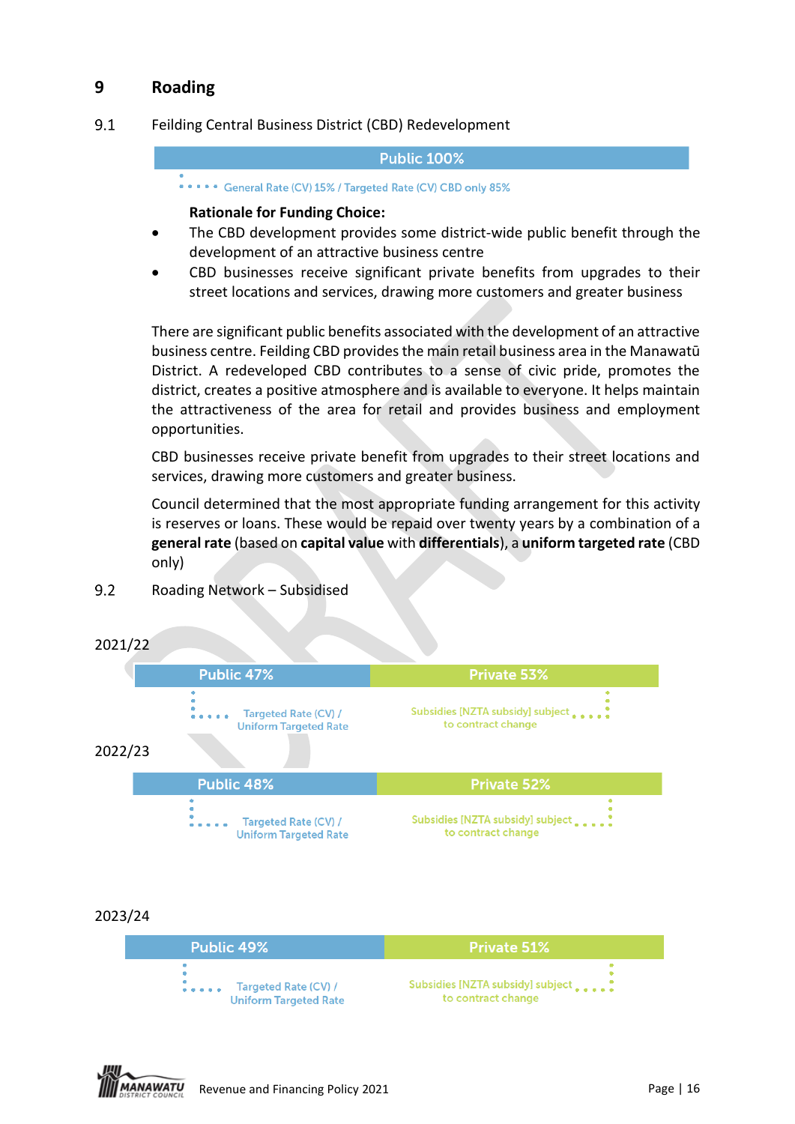# **9 Roading**

#### <span id="page-15-0"></span> $9.1$ Feilding Central Business District (CBD) Redevelopment

#### **Public 100%**

\*\*\*\*\* General Rate (CV) 15% / Targeted Rate (CV) CBD only 85%

#### **Rationale for Funding Choice:**

- The CBD development provides some district-wide public benefit through the development of an attractive business centre
- CBD businesses receive significant private benefits from upgrades to their street locations and services, drawing more customers and greater business

There are significant public benefits associated with the development of an attractive business centre. Feilding CBD provides the main retail business area in the Manawatū District. A redeveloped CBD contributes to a sense of civic pride, promotes the district, creates a positive atmosphere and is available to everyone. It helps maintain the attractiveness of the area for retail and provides business and employment opportunities.

CBD businesses receive private benefit from upgrades to their street locations and services, drawing more customers and greater business.

Council determined that the most appropriate funding arrangement for this activity is reserves or loans. These would be repaid over twenty years by a combination of a **general rate** (based on **capital value** with **differentials**), a **uniform targeted rate** (CBD only)



Subsidies [NZTA subsidy] subject.

to contract change

#### <span id="page-15-1"></span> $9.2$ Roading Network – Subsidised



Targeted Rate (CV) /

**Uniform Targeted Rate**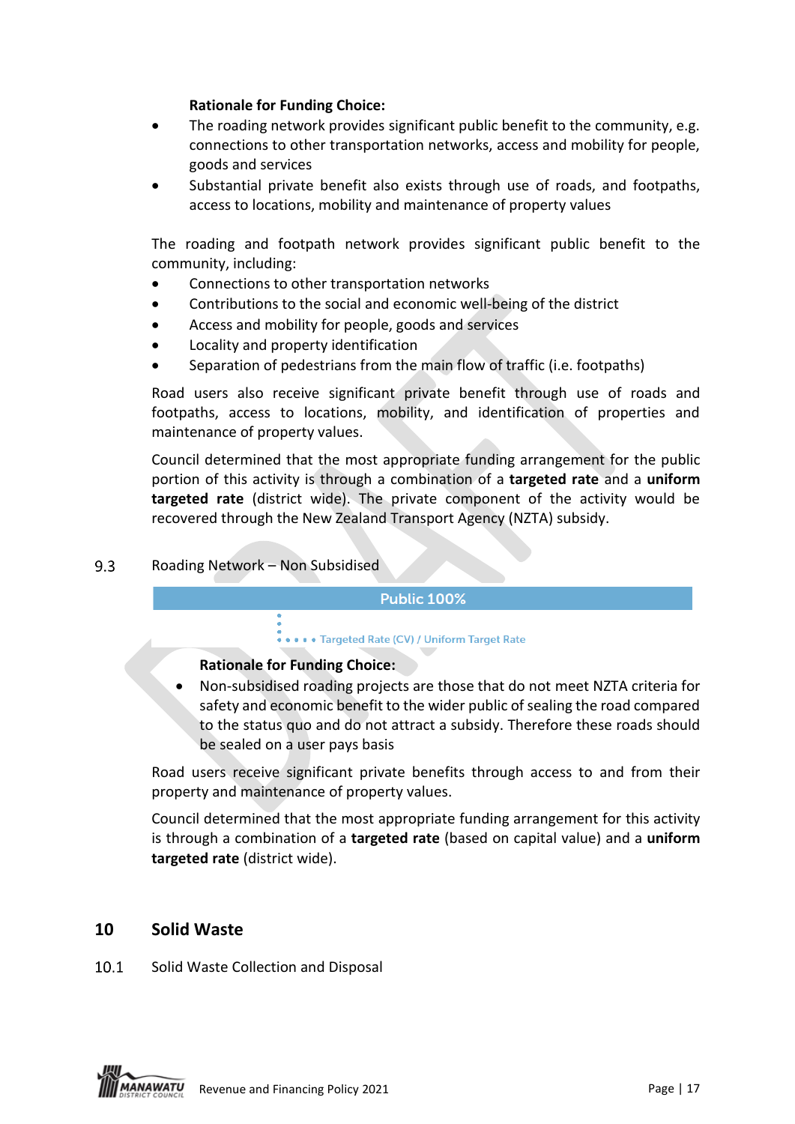### **Rationale for Funding Choice:**

- The roading network provides significant public benefit to the community, e.g. connections to other transportation networks, access and mobility for people, goods and services
- Substantial private benefit also exists through use of roads, and footpaths, access to locations, mobility and maintenance of property values

The roading and footpath network provides significant public benefit to the community, including:

- Connections to other transportation networks
- Contributions to the social and economic well-being of the district
- Access and mobility for people, goods and services
- Locality and property identification
- Separation of pedestrians from the main flow of traffic (i.e. footpaths)

Road users also receive significant private benefit through use of roads and footpaths, access to locations, mobility, and identification of properties and maintenance of property values.

Council determined that the most appropriate funding arrangement for the public portion of this activity is through a combination of a **targeted rate** and a **uniform targeted rate** (district wide). The private component of the activity would be recovered through the New Zealand Transport Agency (NZTA) subsidy.

#### <span id="page-16-0"></span> $9.3$ Roading Network – Non Subsidised

### **Public 100%**

#### .... Targeted Rate (CV) / Uniform Target Rate

### **Rationale for Funding Choice:**

• Non-subsidised roading projects are those that do not meet NZTA criteria for safety and economic benefit to the wider public of sealing the road compared to the status quo and do not attract a subsidy. Therefore these roads should be sealed on a user pays basis

Road users receive significant private benefits through access to and from their property and maintenance of property values.

Council determined that the most appropriate funding arrangement for this activity is through a combination of a **targeted rate** (based on capital value) and a **uniform targeted rate** (district wide).

### **10 Solid Waste**

#### <span id="page-16-1"></span> $10.1$ Solid Waste Collection and Disposal

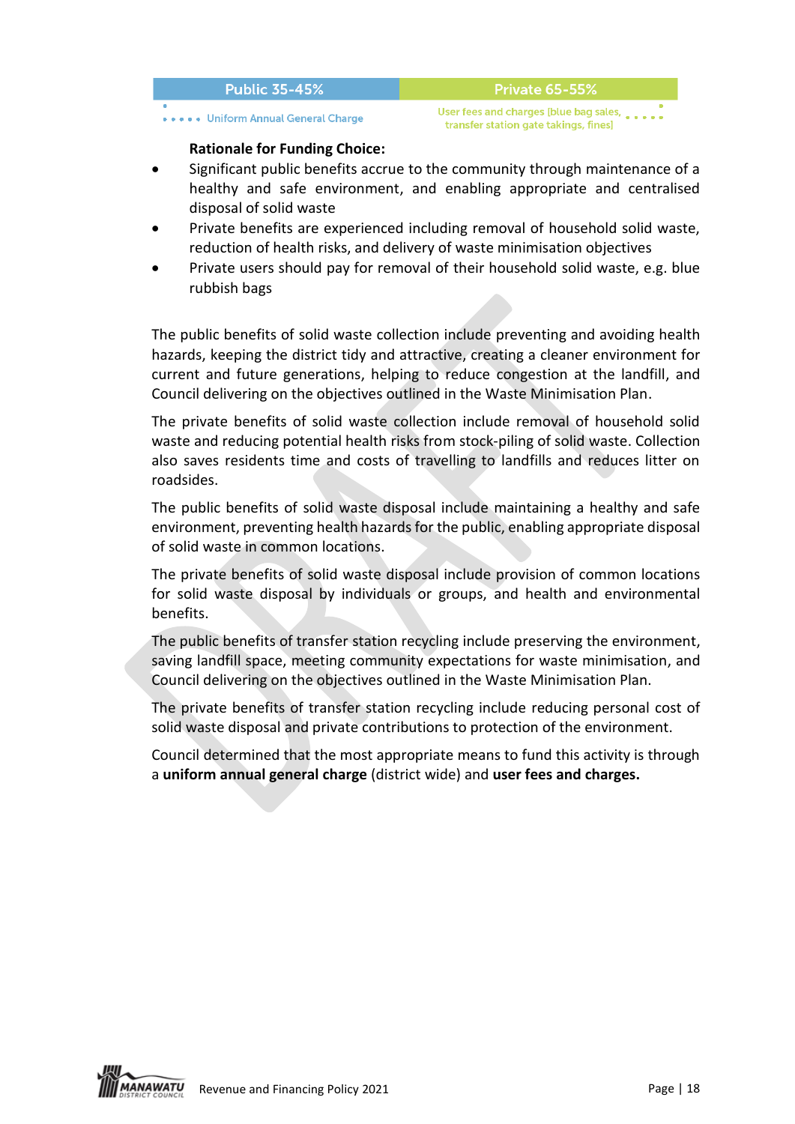#### **Public 35-45%**

#### \*\*\*\*\* Uniform Annual General Charge

User fees and charges [blue bag sales, transfer station gate takings, fines]

**Private 65-55%** 

#### **Rationale for Funding Choice:**

- Significant public benefits accrue to the community through maintenance of a healthy and safe environment, and enabling appropriate and centralised disposal of solid waste
- Private benefits are experienced including removal of household solid waste, reduction of health risks, and delivery of waste minimisation objectives
- Private users should pay for removal of their household solid waste, e.g. blue rubbish bags

The public benefits of solid waste collection include preventing and avoiding health hazards, keeping the district tidy and attractive, creating a cleaner environment for current and future generations, helping to reduce congestion at the landfill, and Council delivering on the objectives outlined in the Waste Minimisation Plan.

The private benefits of solid waste collection include removal of household solid waste and reducing potential health risks from stock-piling of solid waste. Collection also saves residents time and costs of travelling to landfills and reduces litter on roadsides.

The public benefits of solid waste disposal include maintaining a healthy and safe environment, preventing health hazards for the public, enabling appropriate disposal of solid waste in common locations.

The private benefits of solid waste disposal include provision of common locations for solid waste disposal by individuals or groups, and health and environmental benefits.

The public benefits of transfer station recycling include preserving the environment, saving landfill space, meeting community expectations for waste minimisation, and Council delivering on the objectives outlined in the Waste Minimisation Plan.

The private benefits of transfer station recycling include reducing personal cost of solid waste disposal and private contributions to protection of the environment.

Council determined that the most appropriate means to fund this activity is through a **uniform annual general charge** (district wide) and **user fees and charges.**

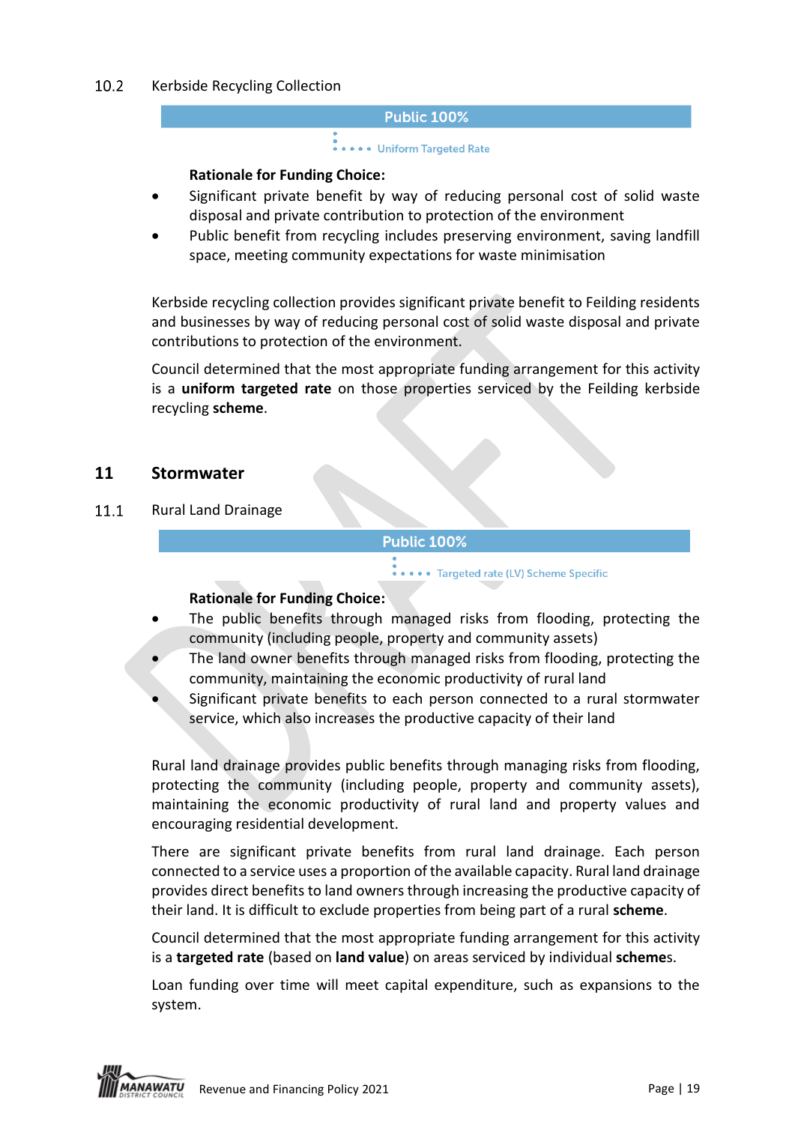#### <span id="page-18-0"></span> $10.2$ Kerbside Recycling Collection

#### **Public 100%**

# .<br>• • • • • Uniform Targeted Rate

### **Rationale for Funding Choice:**

- Significant private benefit by way of reducing personal cost of solid waste disposal and private contribution to protection of the environment
- Public benefit from recycling includes preserving environment, saving landfill space, meeting community expectations for waste minimisation

Kerbside recycling collection provides significant private benefit to Feilding residents and businesses by way of reducing personal cost of solid waste disposal and private contributions to protection of the environment.

Council determined that the most appropriate funding arrangement for this activity is a **uniform targeted rate** on those properties serviced by the Feilding kerbside recycling **scheme**.

### **11 Stormwater**

<span id="page-18-1"></span> $11.1$ Rural Land Drainage

### **Public 100%**

.... Targeted rate (LV) Scheme Specific

### **Rationale for Funding Choice:**

- The public benefits through managed risks from flooding, protecting the community (including people, property and community assets)
- The land owner benefits through managed risks from flooding, protecting the community, maintaining the economic productivity of rural land
- Significant private benefits to each person connected to a rural stormwater service, which also increases the productive capacity of their land

Rural land drainage provides public benefits through managing risks from flooding, protecting the community (including people, property and community assets), maintaining the economic productivity of rural land and property values and encouraging residential development.

There are significant private benefits from rural land drainage. Each person connected to a service uses a proportion of the available capacity. Rural land drainage provides direct benefits to land owners through increasing the productive capacity of their land. It is difficult to exclude properties from being part of a rural **scheme**.

Council determined that the most appropriate funding arrangement for this activity is a **targeted rate** (based on **land value**) on areas serviced by individual **scheme**s.

Loan funding over time will meet capital expenditure, such as expansions to the system.

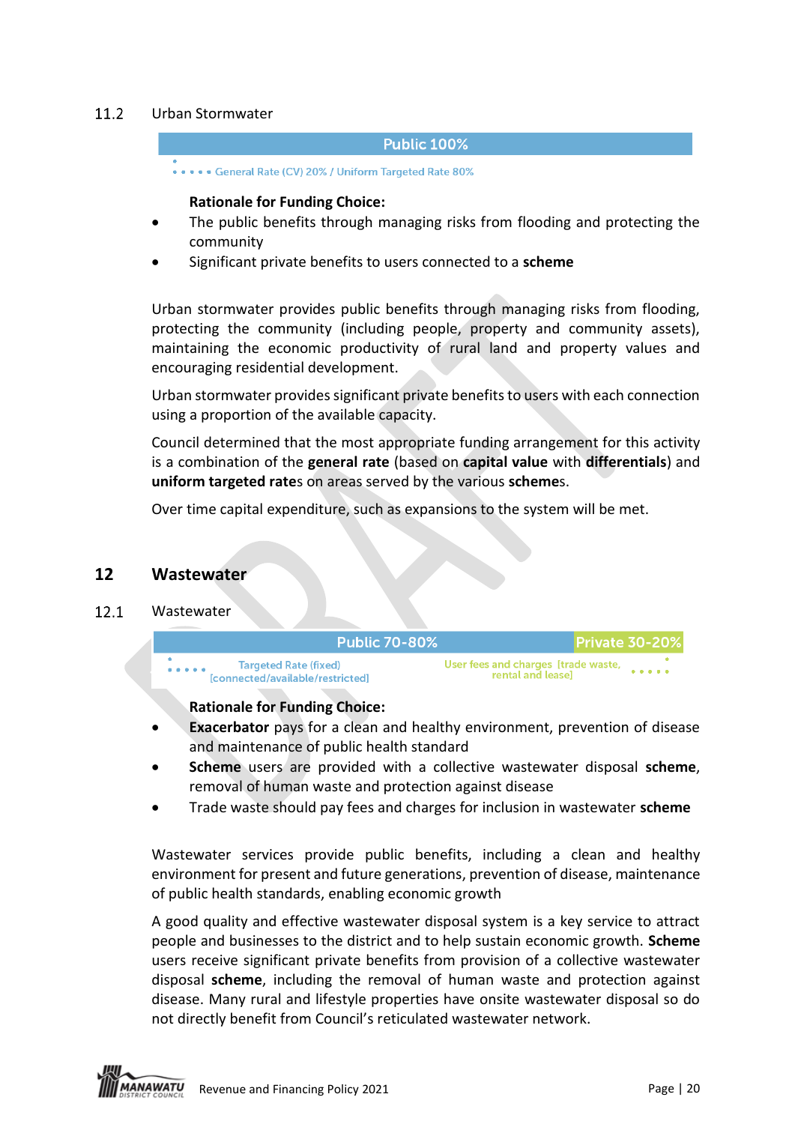#### <span id="page-19-0"></span> $11.2<sub>2</sub>$ Urban Stormwater

#### **Public 100%**

..... General Rate (CV) 20% / Uniform Targeted Rate 80%

#### **Rationale for Funding Choice:**

- The public benefits through managing risks from flooding and protecting the community
- Significant private benefits to users connected to a **scheme**

Urban stormwater provides public benefits through managing risks from flooding, protecting the community (including people, property and community assets), maintaining the economic productivity of rural land and property values and encouraging residential development.

Urban stormwater provides significant private benefits to users with each connection using a proportion of the available capacity.

Council determined that the most appropriate funding arrangement for this activity is a combination of the **general rate** (based on **capital value** with **differentials**) and **uniform targeted rate**s on areas served by the various **scheme**s.

Over time capital expenditure, such as expansions to the system will be met.

**Public 70-80%** 

### <span id="page-19-1"></span>**12 Wastewater**

#### $12.1$ **Wastewater**

**Targeted Rate (fixed)** [connected/available/restricted]

Private 30-209 User fees and charges [trade waste,

rental and leasel

**Rationale for Funding Choice:**

- **Exacerbator** pays for a clean and healthy environment, prevention of disease and maintenance of public health standard
- **Scheme** users are provided with a collective wastewater disposal **scheme**, removal of human waste and protection against disease
- Trade waste should pay fees and charges for inclusion in wastewater **scheme**

Wastewater services provide public benefits, including a clean and healthy environment for present and future generations, prevention of disease, maintenance of public health standards, enabling economic growth

A good quality and effective wastewater disposal system is a key service to attract people and businesses to the district and to help sustain economic growth. **Scheme** users receive significant private benefits from provision of a collective wastewater disposal **scheme**, including the removal of human waste and protection against disease. Many rural and lifestyle properties have onsite wastewater disposal so do not directly benefit from Council's reticulated wastewater network.

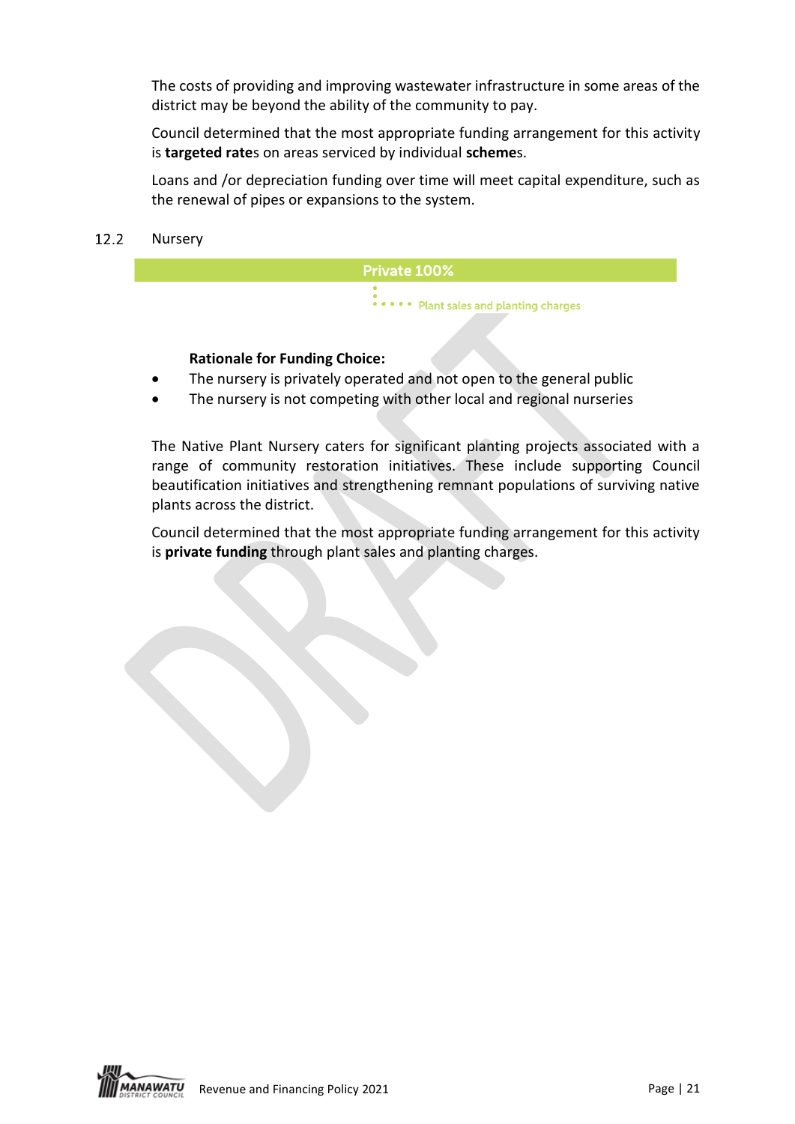The costs of providing and improving wastewater infrastructure in some areas of the district may be beyond the ability of the community to pay.

Council determined that the most appropriate funding arrangement for this activity is **targeted rate**s on areas serviced by individual **scheme**s.

Loans and /or depreciation funding over time will meet capital expenditure, such as the renewal of pipes or expansions to the system.

#### $12.2$ Nursery



### **Rationale for Funding Choice:**

- The nursery is privately operated and not open to the general public
- The nursery is not competing with other local and regional nurseries

The Native Plant Nursery caters for significant planting projects associated with a range of community restoration initiatives. These include supporting Council beautification initiatives and strengthening remnant populations of surviving native plants across the district.

Council determined that the most appropriate funding arrangement for this activity is **private funding** through plant sales and planting charges.